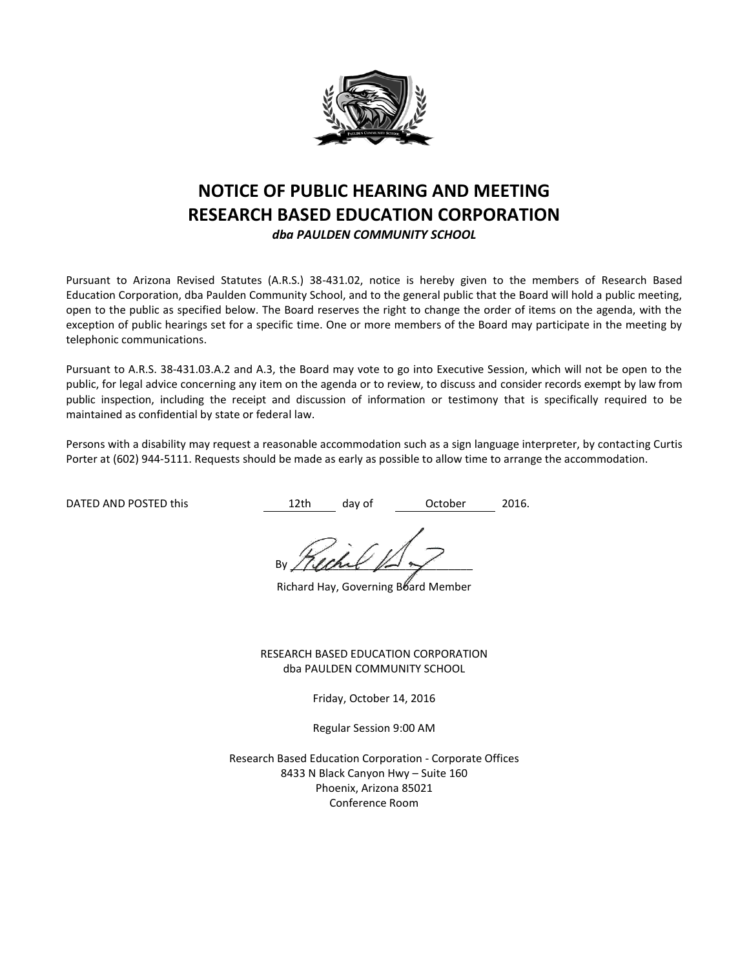

# **NOTICE OF PUBLIC HEARING AND MEETING RESEARCH BASED EDUCATION CORPORATION**

*dba PAULDEN COMMUNITY SCHOOL*

Pursuant to Arizona Revised Statutes (A.R.S.) 38-431.02, notice is hereby given to the members of Research Based Education Corporation, dba Paulden Community School, and to the general public that the Board will hold a public meeting, open to the public as specified below. The Board reserves the right to change the order of items on the agenda, with the exception of public hearings set for a specific time. One or more members of the Board may participate in the meeting by telephonic communications.

Pursuant to A.R.S. 38-431.03.A.2 and A.3, the Board may vote to go into Executive Session, which will not be open to the public, for legal advice concerning any item on the agenda or to review, to discuss and consider records exempt by law from public inspection, including the receipt and discussion of information or testimony that is specifically required to be maintained as confidential by state or federal law.

Persons with a disability may request a reasonable accommodation such as a sign language interpreter, by contacting Curtis Porter at (602) 944-5111. Requests should be made as early as possible to allow time to arrange the accommodation.

DATED AND POSTED this  $12$ th day of October 2016.

By / (land  $\mathbb{R}$ 

Richard Hay, Governing Board Member

RESEARCH BASED EDUCATION CORPORATION dba PAULDEN COMMUNITY SCHOOL

Friday, October 14, 2016

Regular Session 9:00 AM

Research Based Education Corporation - Corporate Offices 8433 N Black Canyon Hwy – Suite 160 Phoenix, Arizona 85021 Conference Room